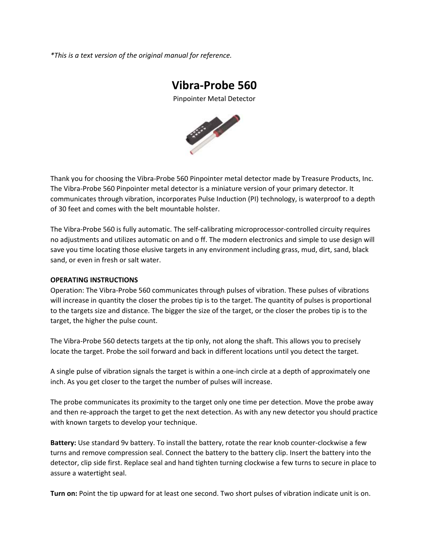*\*This is a text version of the original manual for reference.*

# **Vibra‐Probe 560**

Pinpointer Metal Detector



Thank you for choosing the Vibra‐Probe 560 Pinpointer metal detector made by Treasure Products, Inc. The Vibra‐Probe 560 Pinpointer metal detector is a miniature version of your primary detector. It communicates through vibration, incorporates Pulse Induction (PI) technology, is waterproof to a depth of 30 feet and comes with the belt mountable holster.

The Vibra‐Probe 560 is fully automatic. The self‐calibrating microprocessor‐controlled circuity requires no adjustments and utilizes automatic on and o ff. The modern electronics and simple to use design will save you time locating those elusive targets in any environment including grass, mud, dirt, sand, black sand, or even in fresh or salt water.

#### **OPERATING INSTRUCTIONS**

Operation: The Vibra‐Probe 560 communicates through pulses of vibration. These pulses of vibrations will increase in quantity the closer the probes tip is to the target. The quantity of pulses is proportional to the targets size and distance. The bigger the size of the target, or the closer the probes tip is to the target, the higher the pulse count.

The Vibra‐Probe 560 detects targets at the tip only, not along the shaft. This allows you to precisely locate the target. Probe the soil forward and back in different locations until you detect the target.

A single pulse of vibration signals the target is within a one‐inch circle at a depth of approximately one inch. As you get closer to the target the number of pulses will increase.

The probe communicates its proximity to the target only one time per detection. Move the probe away and then re-approach the target to get the next detection. As with any new detector you should practice with known targets to develop your technique.

**Battery:** Use standard 9v battery. To install the battery, rotate the rear knob counter‐clockwise a few turns and remove compression seal. Connect the battery to the battery clip. Insert the battery into the detector, clip side first. Replace seal and hand tighten turning clockwise a few turns to secure in place to assure a watertight seal.

**Turn on:** Point the tip upward for at least one second. Two short pulses of vibration indicate unit is on.